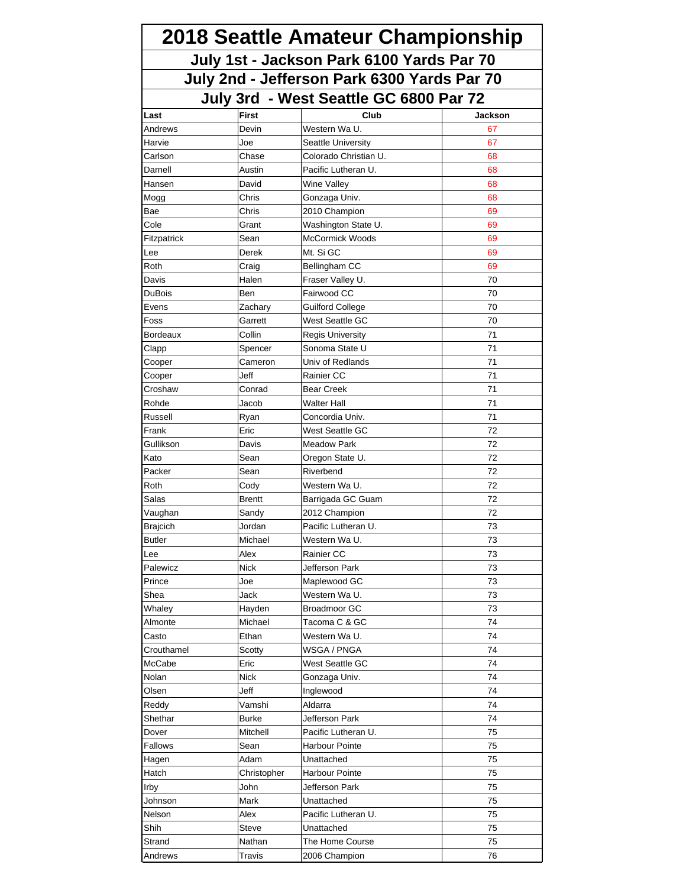| 2018 Seattle Amateur Championship<br>July 1st - Jackson Park 6100 Yards Par 70<br>July 2nd - Jefferson Park 6300 Yards Par 70 |                 |                                    |          |  |  |
|-------------------------------------------------------------------------------------------------------------------------------|-----------------|------------------------------------|----------|--|--|
|                                                                                                                               |                 |                                    |          |  |  |
|                                                                                                                               |                 |                                    |          |  |  |
| Last                                                                                                                          | <b>First</b>    | Club                               | Jackson  |  |  |
| Andrews                                                                                                                       | Devin           | Western Wa U.                      | 67       |  |  |
| Harvie                                                                                                                        | Joe             | Seattle University                 | 67       |  |  |
| Carlson                                                                                                                       | Chase           | Colorado Christian U.              | 68       |  |  |
| Darnell<br>Hansen                                                                                                             | Austin<br>David | Pacific Lutheran U.<br>Wine Valley | 68<br>68 |  |  |
|                                                                                                                               |                 |                                    |          |  |  |
| Mogg<br>Bae                                                                                                                   | Chris<br>Chris  | Gonzaga Univ.<br>2010 Champion     | 68<br>69 |  |  |
| Cole                                                                                                                          | Grant           | Washington State U.                | 69       |  |  |
|                                                                                                                               | Sean            | <b>McCormick Woods</b>             | 69       |  |  |
| Fitzpatrick<br>Lee                                                                                                            | Derek           | Mt. Si GC                          | 69       |  |  |
| Roth                                                                                                                          | Craig           | Bellingham CC                      | 69       |  |  |
| Davis                                                                                                                         | Halen           | Fraser Valley U.                   | 70       |  |  |
| DuBois                                                                                                                        | Ben             | Fairwood CC                        | 70       |  |  |
| Evens                                                                                                                         | Zachary         | <b>Guilford College</b>            | 70       |  |  |
| Foss                                                                                                                          | Garrett         | West Seattle GC                    | 70       |  |  |
| Bordeaux                                                                                                                      | Collin          | <b>Regis University</b>            | 71       |  |  |
| Clapp                                                                                                                         | Spencer         | Sonoma State U                     | 71       |  |  |
| Cooper                                                                                                                        | Cameron         | Univ of Redlands                   | 71       |  |  |
| Cooper                                                                                                                        | Jeff            | Rainier CC                         | 71       |  |  |
| Croshaw                                                                                                                       | Conrad          | Bear Creek                         | 71       |  |  |
| Rohde                                                                                                                         | Jacob           | Walter Hall                        | 71       |  |  |
| Russell                                                                                                                       | Ryan            | Concordia Univ.                    | 71       |  |  |
| Frank                                                                                                                         | Eric            | West Seattle GC                    | 72       |  |  |
| Gullikson                                                                                                                     | Davis           | <b>Meadow Park</b>                 | 72       |  |  |
| Kato                                                                                                                          | Sean            | Oregon State U.                    | 72       |  |  |
| Packer                                                                                                                        | Sean            | Riverbend                          | 72       |  |  |
| Roth                                                                                                                          | Cody            | Western Wa U.                      | 72       |  |  |
| Salas                                                                                                                         | <b>Brentt</b>   | Barrigada GC Guam                  | 72       |  |  |
| Vaughan                                                                                                                       | Sandy           | 2012 Champion                      | 72       |  |  |
| Brajcich                                                                                                                      | Jordan          | Pacific Lutheran U.                | 73       |  |  |
| <b>Butler</b>                                                                                                                 | Michael         | Western Wa U.                      | 73       |  |  |
| Lee                                                                                                                           | Alex            | Rainier CC                         | 73       |  |  |
| Palewicz                                                                                                                      | <b>Nick</b>     | Jefferson Park                     | 73       |  |  |
| Prince                                                                                                                        | Joe             | Maplewood GC                       | 73       |  |  |
| Shea                                                                                                                          | Jack            | Western Wa U.                      | 73       |  |  |
| Whaley                                                                                                                        | Hayden          | <b>Broadmoor GC</b>                | 73       |  |  |
| Almonte                                                                                                                       | Michael         | Tacoma C & GC                      | 74       |  |  |
| Casto                                                                                                                         | Ethan           | Western Wa U.                      | 74       |  |  |
| Crouthamel                                                                                                                    | Scotty          | WSGA / PNGA                        | 74       |  |  |
| McCabe                                                                                                                        | Eric            | West Seattle GC                    | 74       |  |  |
| Nolan                                                                                                                         | <b>Nick</b>     | Gonzaga Univ.                      | 74       |  |  |
| Olsen                                                                                                                         | Jeff            | Inglewood                          | 74       |  |  |
| Reddy                                                                                                                         | Vamshi          | Aldarra                            | 74       |  |  |
| Shethar                                                                                                                       | <b>Burke</b>    | Jefferson Park                     | 74       |  |  |
| Dover                                                                                                                         | Mitchell        | Pacific Lutheran U.                | 75       |  |  |
| Fallows                                                                                                                       | Sean            | Harbour Pointe                     | 75       |  |  |
| Hagen                                                                                                                         | Adam            | Unattached                         | 75       |  |  |
| Hatch                                                                                                                         | Christopher     | Harbour Pointe                     | 75       |  |  |
| Irby                                                                                                                          | John            | Jefferson Park                     | 75       |  |  |
| Johnson                                                                                                                       | Mark            | Unattached                         | 75       |  |  |
| Nelson                                                                                                                        | Alex            | Pacific Lutheran U.                | 75       |  |  |
| Shih                                                                                                                          | Steve           | Unattached                         | 75       |  |  |
| Strand                                                                                                                        | Nathan          | The Home Course                    | 75       |  |  |
| Andrews                                                                                                                       | Travis          | 2006 Champion                      | 76       |  |  |